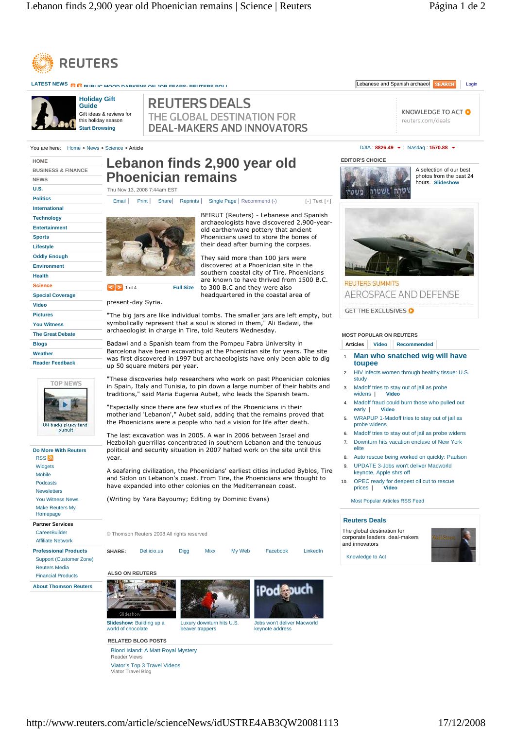

LATEST NEWS **PUBLIC MOOD DARKENS ON JOB FEARS: REUTERS ROLL** LEGAL LEGAL COMPUTERS POLICIES AND REARCHOLOGIC SEARCHOLOGIC **Holiday Gift REUTERS DEALS Guide** KNOWLEDGE TO ACT O Gift ideas & reviews for THE GLOBAL DESTINATION FOR this holiday season reuters.com/deals **DEAL-MAKERS AND INNOVATORS Start Browsing** You are here: Home > News > Science > Article DJIA : **8826.49** | Nasdaq : **1570.88 EDITOR'S CHOICE HOME Lebanon finds 2,900 year old BUSINESS & FINANCE**  A selection of our best **Phoenician remains** photos from the past 24 **NEWS**  hours. **Slideshow U.S.**  Thu Nov 13, 2008 7:44am EST וטרה "ושטרה משטרו **Politics**  Email | Print | Share | Reprints | Single Page | Recommend (-) [-] Text [+] **International**  BEIRUT (Reuters) - Lebanese and Spanish **Technology**  archaeologists have discovered 2,900-year-**Entertainment**  old earthenware pottery that ancient **Sports**  Phoenicians used to store the bones of their dead after burning the corpses. **Lifestyle Oddly Enough**  They said more than 100 jars were discovered at a Phoenician site in the **Environment**  southern coastal city of Tire. Phoenicians **Health**  are known to have thrived from 1500 B.C. **REUTERS SUMMITS Science 1** of 4 **Full Size** to 300 B.C and they were also AEROSPACE AND DEFENSE **Special Coverage**  headquartered in the coastal area of present-day Syria. **Video**  GET THE EXCLUSIVES **Pictures**  "The big jars are like individual tombs. The smaller jars are left empty, but symbolically represent that a soul is stored in them," Ali Badawi, the **You Witness**  archaeologist in charge in Tire, told Reuters Wednesday. **The Great Debate MOST POPULAR ON REUTERS Blogs**  Badawi and a Spanish team from the Pompeu Fabra University in **Articles Video Recommended** Barcelona have been excavating at the Phoenician site for years. The site **Weather**  1. **Man who snatched wig will have**  was first discovered in 1997 but archaeologists have only been able to dig **Reader Feedback toupee**  up 50 square meters per year. 2. HIV infects women through healthy tissue: U.S. "These discoveries help researchers who work on past Phoenician colonies study **TOP NEWS** in Spain, Italy and Tunisia, to pin down a large number of their habits and 3. Madoff tries to stay out of jail as probe<br>widens | Video traditions," said Maria Eugenia Aubet, who leads the Spanish team. widens **| Video** Madoff fraud could burn those who pulled out<br>early | Video "Especially since there are few studies of the Phoenicians in their **early**  $|$ motherland 'Lebanon'," Aubet said, adding that the remains proved that 5. WRAPUP 1-Madoff tries to stay out of jail as the Phoenicians were a people who had a vision for life after death. probe widens UN bades piracy land<br>pursuit 6. Madoff tries to stay out of jail as probe widens The last excavation was in 2005. A war in 2006 between Israel and 7. Downturn hits vacation enclave of New York Hezbollah guerrillas concentrated in southern Lebanon and the tenuous **Do More With Reuters** elite political and security situation in 2007 halted work on the site until this 8. Auto rescue being worked on quickly: Paulson **RSS** year. Widgets 9. UPDATE 3-Jobs won't deliver Macworld A seafaring civilization, the Phoenicians' earliest cities included Byblos, Tire keynote, Apple shrs off Mobile and Sidon on Lebanon's coast. From Tire, the Phoenicians are thought to 10. OPEC ready for deepest oil cut to rescue<br>prices 1 Video Podcasts have expanded into other colonies on the Mediterranean coast. prices | Newsletters (Writing by Yara Bayoumy; Editing by Dominic Evans) You Witness News Most Popular Articles RSS Feed Make Reuters My Homepage **Reuters Deals Partner Services**  The global destination for **CareerBuilder** © Thomson Reuters 2008 All rights reserved corporate leaders, deal-makers Affiliate Network and innovators **Professional Products SHARE:** Del.icio.us Digg Mixx My Web Facebook LinkedIn Knowledge to Act Support (Customer Zone) Reuters Media **ALSO ON REUTERS**  Financial Products **About Thomson Reuters Slideshow:** Building up a Luxury downturn hits U.S. Jobs won't deliver Macworld world of chocolate keynote address beaver trappers

**RELATED BLOG POSTS** 

Reader Views

Blood Island: A Matt Royal Mystery

Viator's Top 3 Travel Videos Viator Travel Blog